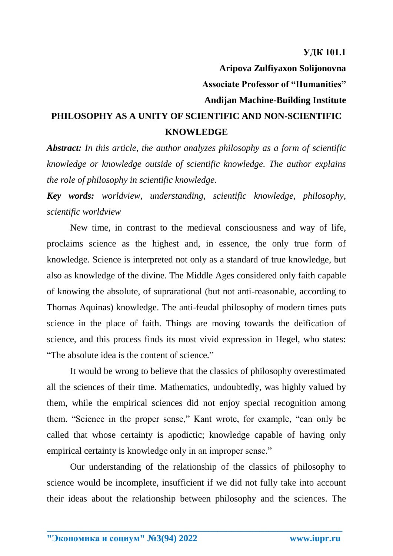## **Aripova Zulfiyaxon Solijonovna Associate Professor of "Humanities" Andijan Machine-Building Institute**

## **PHILOSOPHY AS A UNITY OF SCIENTIFIC AND NON-SCIENTIFIC KNOWLEDGE**

*Abstract: In this article, the author analyzes philosophy as a form of scientific knowledge or knowledge outside of scientific knowledge. The author explains the role of philosophy in scientific knowledge.*

*Key words: worldview, understanding, scientific knowledge, philosophy, scientific worldview*

New time, in contrast to the medieval consciousness and way of life, proclaims science as the highest and, in essence, the only true form of knowledge. Science is interpreted not only as a standard of true knowledge, but also as knowledge of the divine. The Middle Ages considered only faith capable of knowing the absolute, of suprarational (but not anti-reasonable, according to Thomas Aquinas) knowledge. The anti-feudal philosophy of modern times puts science in the place of faith. Things are moving towards the deification of science, and this process finds its most vivid expression in Hegel, who states: "The absolute idea is the content of science."

It would be wrong to believe that the classics of philosophy overestimated all the sciences of their time. Mathematics, undoubtedly, was highly valued by them, while the empirical sciences did not enjoy special recognition among them. "Science in the proper sense," Kant wrote, for example, "can only be called that whose certainty is apodictic; knowledge capable of having only empirical certainty is knowledge only in an improper sense."

Our understanding of the relationship of the classics of philosophy to science would be incomplete, insufficient if we did not fully take into account their ideas about the relationship between philosophy and the sciences. The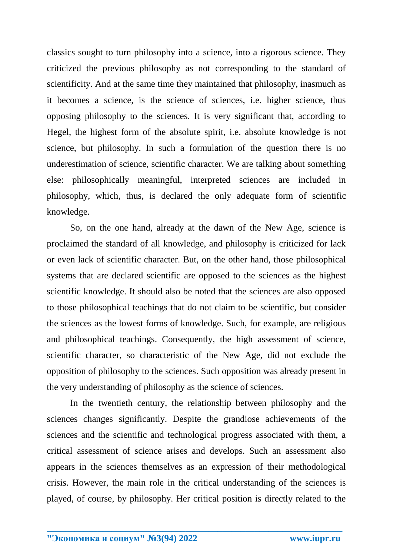classics sought to turn philosophy into a science, into a rigorous science. They criticized the previous philosophy as not corresponding to the standard of scientificity. And at the same time they maintained that philosophy, inasmuch as it becomes a science, is the science of sciences, i.e. higher science, thus opposing philosophy to the sciences. It is very significant that, according to Hegel, the highest form of the absolute spirit, i.e. absolute knowledge is not science, but philosophy. In such a formulation of the question there is no underestimation of science, scientific character. We are talking about something else: philosophically meaningful, interpreted sciences are included in philosophy, which, thus, is declared the only adequate form of scientific knowledge.

So, on the one hand, already at the dawn of the New Age, science is proclaimed the standard of all knowledge, and philosophy is criticized for lack or even lack of scientific character. But, on the other hand, those philosophical systems that are declared scientific are opposed to the sciences as the highest scientific knowledge. It should also be noted that the sciences are also opposed to those philosophical teachings that do not claim to be scientific, but consider the sciences as the lowest forms of knowledge. Such, for example, are religious and philosophical teachings. Consequently, the high assessment of science, scientific character, so characteristic of the New Age, did not exclude the opposition of philosophy to the sciences. Such opposition was already present in the very understanding of philosophy as the science of sciences.

In the twentieth century, the relationship between philosophy and the sciences changes significantly. Despite the grandiose achievements of the sciences and the scientific and technological progress associated with them, a critical assessment of science arises and develops. Such an assessment also appears in the sciences themselves as an expression of their methodological crisis. However, the main role in the critical understanding of the sciences is played, of course, by philosophy. Her critical position is directly related to the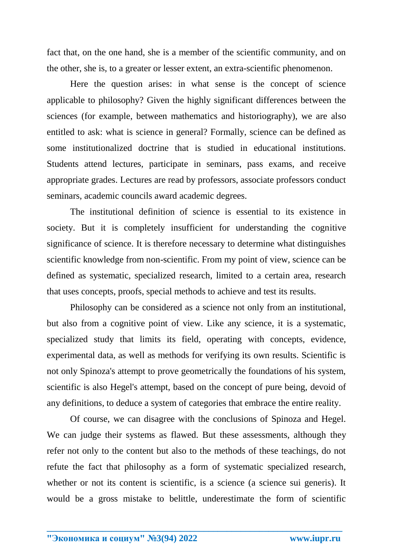fact that, on the one hand, she is a member of the scientific community, and on the other, she is, to a greater or lesser extent, an extra-scientific phenomenon.

Here the question arises: in what sense is the concept of science applicable to philosophy? Given the highly significant differences between the sciences (for example, between mathematics and historiography), we are also entitled to ask: what is science in general? Formally, science can be defined as some institutionalized doctrine that is studied in educational institutions. Students attend lectures, participate in seminars, pass exams, and receive appropriate grades. Lectures are read by professors, associate professors conduct seminars, academic councils award academic degrees.

The institutional definition of science is essential to its existence in society. But it is completely insufficient for understanding the cognitive significance of science. It is therefore necessary to determine what distinguishes scientific knowledge from non-scientific. From my point of view, science can be defined as systematic, specialized research, limited to a certain area, research that uses concepts, proofs, special methods to achieve and test its results.

Philosophy can be considered as a science not only from an institutional, but also from a cognitive point of view. Like any science, it is a systematic, specialized study that limits its field, operating with concepts, evidence, experimental data, as well as methods for verifying its own results. Scientific is not only Spinoza's attempt to prove geometrically the foundations of his system, scientific is also Hegel's attempt, based on the concept of pure being, devoid of any definitions, to deduce a system of categories that embrace the entire reality.

Of course, we can disagree with the conclusions of Spinoza and Hegel. We can judge their systems as flawed. But these assessments, although they refer not only to the content but also to the methods of these teachings, do not refute the fact that philosophy as a form of systematic specialized research, whether or not its content is scientific, is a science (a science sui generis). It would be a gross mistake to belittle, underestimate the form of scientific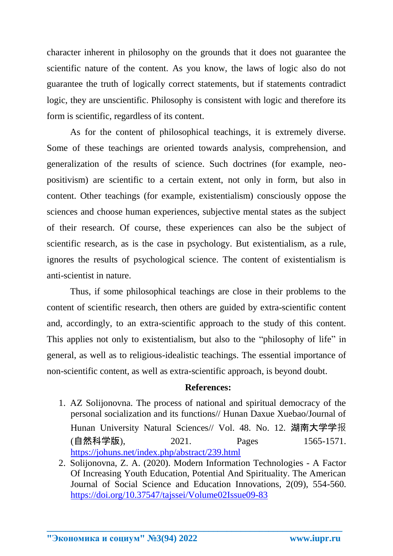character inherent in philosophy on the grounds that it does not guarantee the scientific nature of the content. As you know, the laws of logic also do not guarantee the truth of logically correct statements, but if statements contradict logic, they are unscientific. Philosophy is consistent with logic and therefore its form is scientific, regardless of its content.

As for the content of philosophical teachings, it is extremely diverse. Some of these teachings are oriented towards analysis, comprehension, and generalization of the results of science. Such doctrines (for example, neopositivism) are scientific to a certain extent, not only in form, but also in content. Other teachings (for example, existentialism) consciously oppose the sciences and choose human experiences, subjective mental states as the subject of their research. Of course, these experiences can also be the subject of scientific research, as is the case in psychology. But existentialism, as a rule, ignores the results of psychological science. The content of existentialism is anti-scientist in nature.

Thus, if some philosophical teachings are close in their problems to the content of scientific research, then others are guided by extra-scientific content and, accordingly, to an extra-scientific approach to the study of this content. This applies not only to existentialism, but also to the "philosophy of life" in general, as well as to religious-idealistic teachings. The essential importance of non-scientific content, as well as extra-scientific approach, is beyond doubt.

## **References:**

- 1. AZ Solijonovna. The process of national and spiritual democracy of the personal socialization and its functions// Hunan Daxue Xuebao/Journal of Hunan University Natural Sciences// Vol. 48. No. 12. 湖南大学学报 (自然科学版), 2021. Pages 1565-1571. <https://johuns.net/index.php/abstract/239.html>
- 2. Solijonovna, Z. A. (2020). Modern Information Technologies A Factor Of Increasing Youth Education, Potential And Spirituality. The American Journal of Social Science and Education Innovations, 2(09), 554-560. <https://doi.org/10.37547/tajssei/Volume02Issue09-83>